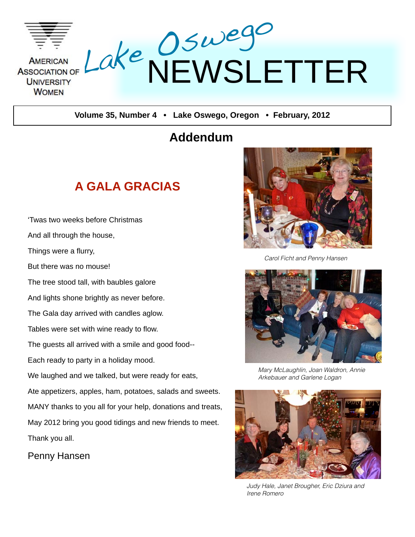

**Volume 35, Number 4 • Lake Oswego, Oregon • February, 2012**

## **Addendum**

## **A GALA GRACIAS**

And all through the house, Things were a flurry, But there was no mouse! The tree stood tall, with baubles galore And lights shone brightly as never before. The Gala day arrived with candles aglow. Tables were set with wine ready to flow. The guests all arrived with a smile and good food-- Each ready to party in a holiday mood. We laughed and we talked, but were ready for eats, Ate appetizers, apples, ham, potatoes, salads and sweets. MANY thanks to you all for your help, donations and treats, May 2012 bring you good tidings and new friends to meet. Thank you all.

ʻTwas two weeks before Christmas

Penny Hansen



*Carol Ficht and Penny Hansen*



*Mary McLaughlin, Joan Waldron, Annie Arkebauer and Garlene Logan*



*Judy Hale, Janet Brougher, Eric Dziura and Irene Romero*